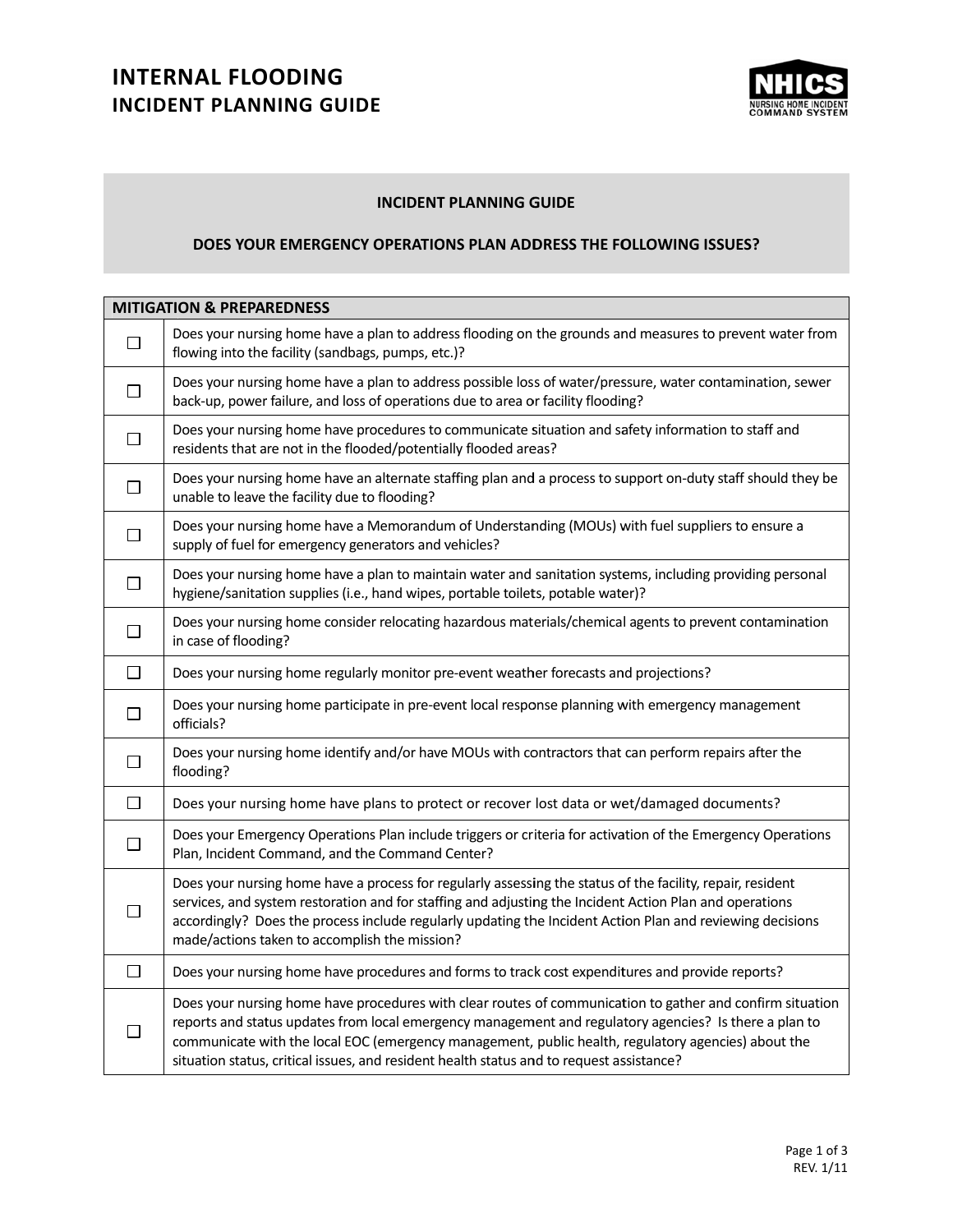# **INTERNAL FLOODING INCIDENT PLANNING GUIDE**



#### **INCIDENT T PLANNING G GUIDE**

### **DOES YOU R EMERGENC CY OPERATIO NS PLAN ADD DRESS THE FO OLLOWING IS SSUES?**

| <b>MITIGATION &amp; PREPAREDNESS</b> |                                                                                                                                                                                                                                                                                                                                                                                                                        |  |
|--------------------------------------|------------------------------------------------------------------------------------------------------------------------------------------------------------------------------------------------------------------------------------------------------------------------------------------------------------------------------------------------------------------------------------------------------------------------|--|
| $\Box$                               | Does your nursing home have a plan to address flooding on the grounds and measures to prevent water from<br>flowing into the facility (sandbags, pumps, etc.)?                                                                                                                                                                                                                                                         |  |
| $\Box$                               | Does your nursing home have a plan to address possible loss of water/pressure, water contamination, sewer<br>back-up, power failure, and loss of operations due to area or facility flooding?                                                                                                                                                                                                                          |  |
| $\Box$                               | Does your nursing home have procedures to communicate situation and safety information to staff and<br>residents that are not in the flooded/potentially flooded areas?                                                                                                                                                                                                                                                |  |
| $\Box$                               | Does your nursing home have an alternate staffing plan and a process to support on-duty staff should they be<br>unable to leave the facility due to flooding?                                                                                                                                                                                                                                                          |  |
| $\Box$                               | Does your nursing home have a Memorandum of Understanding (MOUs) with fuel suppliers to ensure a<br>supply of fuel for emergency generators and vehicles?                                                                                                                                                                                                                                                              |  |
| $\Box$                               | Does your nursing home have a plan to maintain water and sanitation systems, including providing personal<br>hygiene/sanitation supplies (i.e., hand wipes, portable toilets, potable water)?                                                                                                                                                                                                                          |  |
| $\Box$                               | Does your nursing home consider relocating hazardous materials/chemical agents to prevent contamination<br>in case of flooding?                                                                                                                                                                                                                                                                                        |  |
| $\Box$                               | Does your nursing home regularly monitor pre-event weather forecasts and projections?                                                                                                                                                                                                                                                                                                                                  |  |
| ⊔                                    | Does your nursing home participate in pre-event local response planning with emergency management<br>officials?                                                                                                                                                                                                                                                                                                        |  |
| П                                    | Does your nursing home identify and/or have MOUs with contractors that can perform repairs after the<br>flooding?                                                                                                                                                                                                                                                                                                      |  |
| $\Box$                               | Does your nursing home have plans to protect or recover lost data or wet/damaged documents?                                                                                                                                                                                                                                                                                                                            |  |
| П                                    | Does your Emergency Operations Plan include triggers or criteria for activation of the Emergency Operations<br>Plan, Incident Command, and the Command Center?                                                                                                                                                                                                                                                         |  |
| $\Box$                               | Does your nursing home have a process for regularly assessing the status of the facility, repair, resident<br>services, and system restoration and for staffing and adjusting the Incident Action Plan and operations<br>accordingly? Does the process include regularly updating the Incident Action Plan and reviewing decisions<br>made/actions taken to accomplish the mission?                                    |  |
| $\Box$                               | Does your nursing home have procedures and forms to track cost expenditures and provide reports?                                                                                                                                                                                                                                                                                                                       |  |
| $\Box$                               | Does your nursing home have procedures with clear routes of communication to gather and confirm situation<br>reports and status updates from local emergency management and regulatory agencies? Is there a plan to<br>communicate with the local EOC (emergency management, public health, regulatory agencies) about the<br>situation status, critical issues, and resident health status and to request assistance? |  |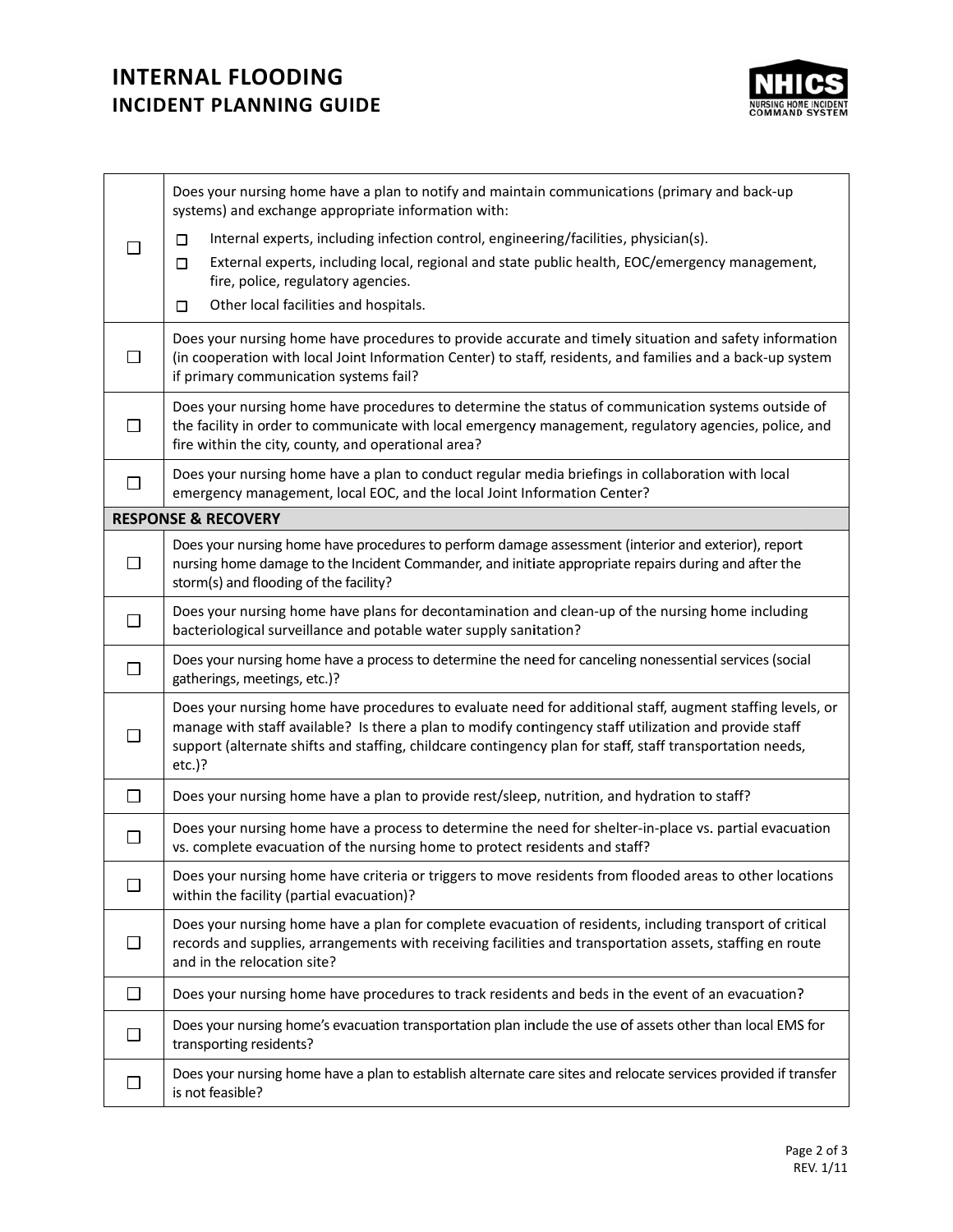# **INTERNAL FLOODING INCIDENT PLANNING GUIDE**



|                                | Does your nursing home have a plan to notify and maintain communications (primary and back-up<br>systems) and exchange appropriate information with:                                                                                                                                                                                          |  |
|--------------------------------|-----------------------------------------------------------------------------------------------------------------------------------------------------------------------------------------------------------------------------------------------------------------------------------------------------------------------------------------------|--|
|                                | Internal experts, including infection control, engineering/facilities, physician(s).<br>□<br>External experts, including local, regional and state public health, EOC/emergency management,<br>□<br>fire, police, regulatory agencies.                                                                                                        |  |
|                                | Other local facilities and hospitals.<br>$\Box$                                                                                                                                                                                                                                                                                               |  |
| □                              | Does your nursing home have procedures to provide accurate and timely situation and safety information<br>(in cooperation with local Joint Information Center) to staff, residents, and families and a back-up system<br>if primary communication systems fail?                                                                               |  |
| ΙI                             | Does your nursing home have procedures to determine the status of communication systems outside of<br>the facility in order to communicate with local emergency management, regulatory agencies, police, and<br>fire within the city, county, and operational area?                                                                           |  |
| □                              | Does your nursing home have a plan to conduct regular media briefings in collaboration with local<br>emergency management, local EOC, and the local Joint Information Center?                                                                                                                                                                 |  |
| <b>RESPONSE &amp; RECOVERY</b> |                                                                                                                                                                                                                                                                                                                                               |  |
| □                              | Does your nursing home have procedures to perform damage assessment (interior and exterior), report<br>nursing home damage to the Incident Commander, and initiate appropriate repairs during and after the<br>storm(s) and flooding of the facility?                                                                                         |  |
| $\Box$                         | Does your nursing home have plans for decontamination and clean-up of the nursing home including<br>bacteriological surveillance and potable water supply sanitation?                                                                                                                                                                         |  |
| $\Box$                         | Does your nursing home have a process to determine the need for canceling nonessential services (social<br>gatherings, meetings, etc.)?                                                                                                                                                                                                       |  |
| $\mathsf{L}$                   | Does your nursing home have procedures to evaluate need for additional staff, augment staffing levels, or<br>manage with staff available? Is there a plan to modify contingency staff utilization and provide staff<br>support (alternate shifts and staffing, childcare contingency plan for staff, staff transportation needs,<br>$etc.$ )? |  |
| □                              | Does your nursing home have a plan to provide rest/sleep, nutrition, and hydration to staff?                                                                                                                                                                                                                                                  |  |
| □                              | Does your nursing home have a process to determine the need for shelter-in-place vs. partial evacuation<br>vs. complete evacuation of the nursing home to protect residents and staff?                                                                                                                                                        |  |
| □                              | Does your nursing home have criteria or triggers to move residents from flooded areas to other locations<br>within the facility (partial evacuation)?                                                                                                                                                                                         |  |
| □                              | Does your nursing home have a plan for complete evacuation of residents, including transport of critical<br>records and supplies, arrangements with receiving facilities and transportation assets, staffing en route<br>and in the relocation site?                                                                                          |  |
| $\Box$                         | Does your nursing home have procedures to track residents and beds in the event of an evacuation?                                                                                                                                                                                                                                             |  |
| $\Box$                         | Does your nursing home's evacuation transportation plan include the use of assets other than local EMS for<br>transporting residents?                                                                                                                                                                                                         |  |
| $\Box$                         | Does your nursing home have a plan to establish alternate care sites and relocate services provided if transfer<br>is not feasible?                                                                                                                                                                                                           |  |